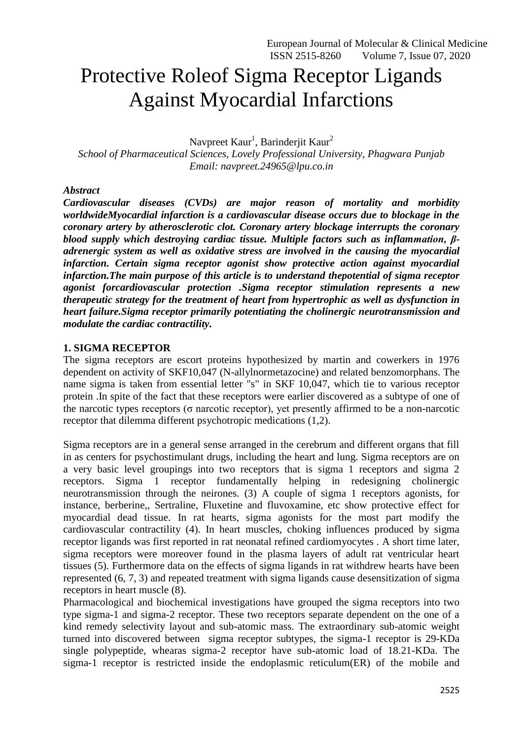# Protective Roleof Sigma Receptor Ligands Against Myocardial Infarctions

Navpreet Kaur<sup>1</sup>, Barinderjit Kaur<sup>2</sup>

*School of Pharmaceutical Sciences, Lovely Professional University, Phagwara Punjab Email: [navpreet.24965@lpu.co.in](mailto:navpreet.24965@lpu.co.in)*

### *Abstract*

*Cardiovascular diseases (CVDs) are major reason of mortality and morbidity worldwideMyocardial infarction is a cardiovascular disease occurs due to blockage in the coronary artery by atherosclerotic clot. Coronary artery blockage interrupts the coronary blood supply which destroying cardiac tissue. Multiple factors such as inflammation, βadrenergic system as well as oxidative stress are involved in the causing the myocardial infarction. Certain sigma receptor agonist show protective action against myocardial infarction.The main purpose of this article is to understand thepotential of sigma receptor agonist forcardiovascular protection .Sigma receptor stimulation represents a new therapeutic strategy for the treatment of heart from hypertrophic as well as dysfunction in heart failure.Sigma receptor primarily potentiating the cholinergic neurotransmission and modulate the cardiac contractility.*

# **1. SIGMA RECEPTOR**

The sigma receptors are escort proteins hypothesized by martin and cowerkers in 1976 dependent on activity of SKF10,047 (N-allylnormetazocine) and related benzomorphans. The name sigma is taken from essential letter "s" in SKF 10,047, which tie to various receptor protein .In spite of the fact that these receptors were earlier discovered as a subtype of one of the narcotic types receptors (σ narcotic receptor), yet presently affirmed to be a non-narcotic receptor that dilemma different psychotropic medications (1,2).

Sigma receptors are in a general sense arranged in the cerebrum and different organs that fill in as centers for psychostimulant drugs, including the heart and lung. Sigma receptors are on a very basic level groupings into two receptors that is sigma 1 receptors and sigma 2 receptors. Sigma 1 receptor fundamentally helping in redesigning cholinergic neurotransmission through the neirones. (3) A couple of sigma 1 receptors agonists, for instance, berberine,, Sertraline, Fluxetine and fluvoxamine, etc show protective effect for myocardial dead tissue. In rat hearts, sigma agonists for the most part modify the cardiovascular contractility (4). In heart muscles, choking influences produced by sigma receptor ligands was first reported in rat neonatal refined cardiomyocytes . A short time later, sigma receptors were moreover found in the plasma layers of adult rat ventricular heart tissues (5). Furthermore data on the effects of sigma ligands in rat withdrew hearts have been represented (6, 7, 3) and repeated treatment with sigma ligands cause desensitization of sigma receptors in heart muscle (8).

Pharmacological and biochemical investigations have grouped the sigma receptors into two type sigma-1 and sigma-2 receptor. These two receptors separate dependent on the one of a kind remedy selectivity layout and sub-atomic mass. The extraordinary sub-atomic weight turned into discovered between sigma receptor subtypes, the sigma-1 receptor is 29-KDa single polypeptide, whearas sigma-2 receptor have sub-atomic load of 18.21-KDa. The sigma-1 receptor is restricted inside the endoplasmic reticulum(ER) of the mobile and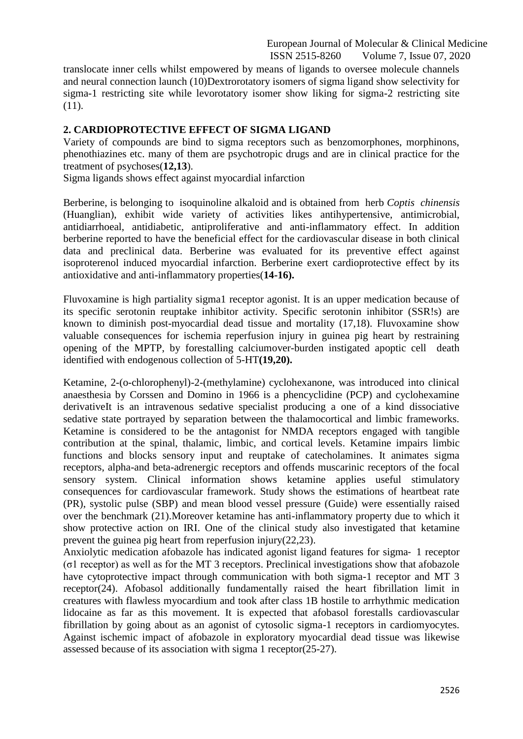translocate inner cells whilst empowered by means of ligands to oversee molecule channels and neural connection launch (10)Dextrorotatory isomers of sigma ligand show selectivity for sigma-1 restricting site while levorotatory isomer show liking for sigma-2 restricting site (11).

## **2. CARDIOPROTECTIVE EFFECT OF SIGMA LIGAND**

Variety of compounds are bind to sigma receptors such as benzomorphones, morphinons, phenothiazines etc. many of them are psychotropic drugs and are in clinical practice for the treatment of psychoses(**12,13**).

Sigma ligands shows effect against myocardial infarction

Berberine, is belonging to isoquinoline alkaloid and is obtained from herb *Coptis chinensis*  (Huanglian), exhibit wide variety of activities likes antihypertensive, antimicrobial, antidiarrhoeal, antidiabetic, antiproliferative and anti-inflammatory effect. In addition berberine reported to have the beneficial effect for the cardiovascular disease in both clinical data and preclinical data. Berberine was evaluated for its preventive effect against isoproterenol induced myocardial infarction. Berberine exert cardioprotective effect by its antioxidative and anti-inflammatory properties(**14-16).**

Fluvoxamine is high partiality sigma1 receptor agonist. It is an upper medication because of its specific serotonin reuptake inhibitor activity. Specific serotonin inhibitor (SSR!s) are known to diminish post-myocardial dead tissue and mortality (17,18). Fluvoxamine show valuable consequences for ischemia reperfusion injury in guinea pig heart by restraining opening of the MPTP, by forestalling calciumover-burden instigated apoptic cell death identified with endogenous collection of 5-HT**(19,20).** 

Ketamine, 2-(o-chlorophenyl)-2-(methylamine) cyclohexanone, was introduced into clinical anaesthesia by Corssen and Domino in 1966 is a phencyclidine (PCP) and cyclohexamine derivativeIt is an intravenous sedative specialist producing a one of a kind dissociative sedative state portrayed by separation between the thalamocortical and limbic frameworks. Ketamine is considered to be the antagonist for NMDA receptors engaged with tangible contribution at the spinal, thalamic, limbic, and cortical levels. Ketamine impairs limbic functions and blocks sensory input and reuptake of catecholamines. It animates sigma receptors, alpha-and beta-adrenergic receptors and offends muscarinic receptors of the focal sensory system. Clinical information shows ketamine applies useful stimulatory consequences for cardiovascular framework. Study shows the estimations of heartbeat rate (PR), systolic pulse (SBP) and mean blood vessel pressure (Guide) were essentially raised over the benchmark (21).Moreover ketamine has anti-inflammatory property due to which it show protective action on IRI. One of the clinical study also investigated that ketamine prevent the guinea pig heart from reperfusion injury(22,23).

Anxiolytic medication afobazole has indicated agonist ligand features for sigma‐ 1 receptor (σ1 receptor) as well as for the MT 3 receptors. Preclinical investigations show that afobazole have cytoprotective impact through communication with both sigma-1 receptor and MT 3 receptor(24). Afobasol additionally fundamentally raised the heart fibrillation limit in creatures with flawless myocardium and took after class 1B hostile to arrhythmic medication lidocaine as far as this movement. It is expected that afobasol forestalls cardiovascular fibrillation by going about as an agonist of cytosolic sigma-1 receptors in cardiomyocytes. Against ischemic impact of afobazole in exploratory myocardial dead tissue was likewise assessed because of its association with sigma 1 receptor(25-27).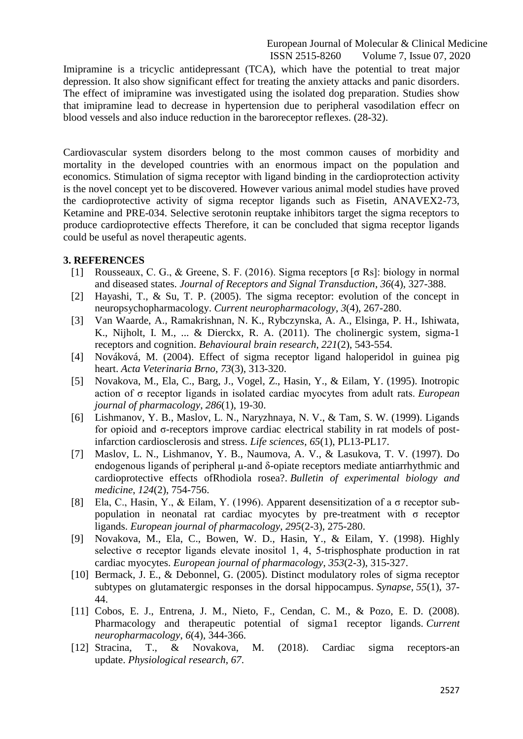Imipramine is a tricyclic antidepressant (TCA), which have the potential to treat major depression. It also show significant effect for treating the anxiety attacks and panic disorders. The effect of imipramine was investigated using the isolated dog preparation. Studies show that imipramine lead to decrease in hypertension due to peripheral vasodilation effecr on blood vessels and also induce reduction in the baroreceptor reflexes. (28-32).

Cardiovascular system disorders belong to the most common causes of morbidity and mortality in the developed countries with an enormous impact on the population and economics. Stimulation of sigma receptor with ligand binding in the cardioprotection activity is the novel concept yet to be discovered. However various animal model studies have proved the cardioprotective activity of sigma receptor ligands such as Fisetin, ANAVEX2-73, Ketamine and PRE-034. Selective serotonin reuptake inhibitors target the sigma receptors to produce cardioprotective effects Therefore, it can be concluded that sigma receptor ligands could be useful as novel therapeutic agents.

#### **3. REFERENCES**

- [1] Rousseaux, C. G., & Greene, S. F. (2016). Sigma receptors [σ Rs]: biology in normal and diseased states. *Journal of Receptors and Signal Transduction*, *36*(4), 327-388.
- [2] Hayashi, T., & Su, T. P. (2005). The sigma receptor: evolution of the concept in neuropsychopharmacology. *Current neuropharmacology*, *3*(4), 267-280.
- [3] Van Waarde, A., Ramakrishnan, N. K., Rybczynska, A. A., Elsinga, P. H., Ishiwata, K., Nijholt, I. M., ... & Dierckx, R. A. (2011). The cholinergic system, sigma-1 receptors and cognition. *Behavioural brain research*, *221*(2), 543-554.
- [4] Nováková, M. (2004). Effect of sigma receptor ligand haloperidol in guinea pig heart. *Acta Veterinaria Brno*, *73*(3), 313-320.
- [5] Novakova, M., Ela, C., Barg, J., Vogel, Z., Hasin, Y., & Eilam, Y. (1995). Inotropic action of σ receptor ligands in isolated cardiac myocytes from adult rats. *European journal of pharmacology*, *286*(1), 19-30.
- [6] Lishmanov, Y. B., Maslov, L. N., Naryzhnaya, N. V., & Tam, S. W. (1999). Ligands for opioid and σ-receptors improve cardiac electrical stability in rat models of postinfarction cardiosclerosis and stress. *Life sciences*, *65*(1), PL13-PL17.
- [7] Maslov, L. N., Lishmanov, Y. B., Naumova, A. V., & Lasukova, T. V. (1997). Do endogenous ligands of peripheral μ-and δ-opiate receptors mediate antiarrhythmic and cardioprotective effects ofRhodiola rosea?. *Bulletin of experimental biology and medicine*, *124*(2), 754-756.
- [8] Ela, C., Hasin, Y., & Eilam, Y. (1996). Apparent desensitization of a  $\sigma$  receptor subpopulation in neonatal rat cardiac myocytes by pre-treatment with  $\sigma$  receptor ligands. *European journal of pharmacology*, *295*(2-3), 275-280.
- [9] Novakova, M., Ela, C., Bowen, W. D., Hasin, Y., & Eilam, Y. (1998). Highly selective σ receptor ligands elevate inositol 1, 4, 5-trisphosphate production in rat cardiac myocytes. *European journal of pharmacology*, *353*(2-3), 315-327.
- [10] Bermack, J. E., & Debonnel, G. (2005). Distinct modulatory roles of sigma receptor subtypes on glutamatergic responses in the dorsal hippocampus. *Synapse*, *55*(1), 37- 44.
- [11] Cobos, E. J., Entrena, J. M., Nieto, F., Cendan, C. M., & Pozo, E. D. (2008). Pharmacology and therapeutic potential of sigma1 receptor ligands. *Current neuropharmacology*, *6*(4), 344-366.
- [12] Stracina, T., & Novakova, M. (2018). Cardiac sigma receptors-an update. *Physiological research*, *67*.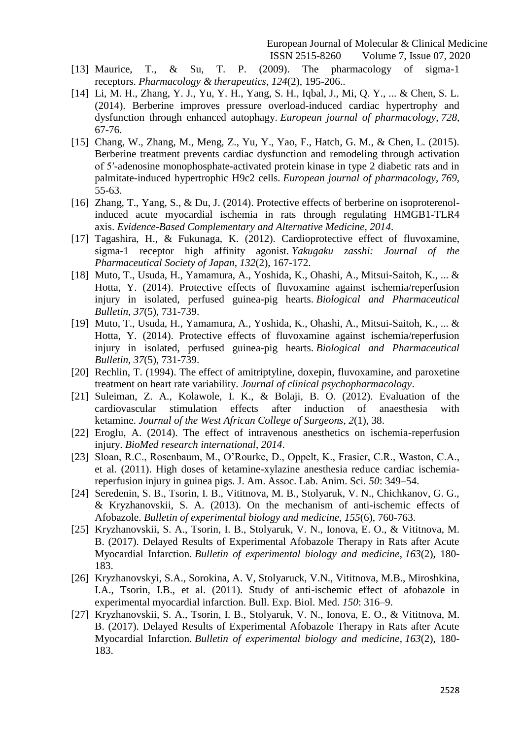- [13] Maurice, T., & Su, T. P. (2009). The pharmacology of sigma-1 receptors. *Pharmacology & therapeutics*, *124*(2), 195-206..
- [14] Li, M. H., Zhang, Y. J., Yu, Y. H., Yang, S. H., Iqbal, J., Mi, Q. Y., ... & Chen, S. L. (2014). Berberine improves pressure overload-induced cardiac hypertrophy and dysfunction through enhanced autophagy. *European journal of pharmacology*, *728*, 67-76.
- [15] Chang, W., Zhang, M., Meng, Z., Yu, Y., Yao, F., Hatch, G. M., & Chen, L. (2015). Berberine treatment prevents cardiac dysfunction and remodeling through activation of 5′-adenosine monophosphate-activated protein kinase in type 2 diabetic rats and in palmitate-induced hypertrophic H9c2 cells. *European journal of pharmacology*, *769*, 55-63.
- [16] Zhang, T., Yang, S., & Du, J. (2014). Protective effects of berberine on isoproterenolinduced acute myocardial ischemia in rats through regulating HMGB1-TLR4 axis. *Evidence-Based Complementary and Alternative Medicine*, *2014*.
- [17] Tagashira, H., & Fukunaga, K. (2012). Cardioprotective effect of fluvoxamine, sigma-1 receptor high affinity agonist. *Yakugaku zasshi: Journal of the Pharmaceutical Society of Japan*, *132*(2), 167-172.
- [18] Muto, T., Usuda, H., Yamamura, A., Yoshida, K., Ohashi, A., Mitsui-Saitoh, K., ... & Hotta, Y. (2014). Protective effects of fluvoxamine against ischemia/reperfusion injury in isolated, perfused guinea-pig hearts. *Biological and Pharmaceutical Bulletin*, *37*(5), 731-739.
- [19] Muto, T., Usuda, H., Yamamura, A., Yoshida, K., Ohashi, A., Mitsui-Saitoh, K., ... & Hotta, Y. (2014). Protective effects of fluvoxamine against ischemia/reperfusion injury in isolated, perfused guinea-pig hearts. *Biological and Pharmaceutical Bulletin*, *37*(5), 731-739.
- [20] Rechlin, T. (1994). The effect of amitriptyline, doxepin, fluvoxamine, and paroxetine treatment on heart rate variability. *Journal of clinical psychopharmacology*.
- [21] Suleiman, Z. A., Kolawole, I. K., & Bolaji, B. O. (2012). Evaluation of the cardiovascular stimulation effects after induction of anaesthesia with ketamine. *Journal of the West African College of Surgeons*, *2*(1), 38.
- [22] Eroglu, A. (2014). The effect of intravenous anesthetics on ischemia-reperfusion injury. *BioMed research international*, *2014*.
- [23] Sloan, R.C., Rosenbaum, M., O'Rourke, D., Oppelt, K., Frasier, C.R., Waston, C.A., et al. (2011). High doses of ketamine-xylazine anesthesia reduce cardiac ischemiareperfusion injury in guinea pigs. J. Am. Assoc. Lab. Anim. Sci. *50*: 349–54.
- [24] Seredenin, S. B., Tsorin, I. B., Vititnova, M. B., Stolyaruk, V. N., Chichkanov, G. G., & Kryzhanovskii, S. A. (2013). On the mechanism of anti-ischemic effects of Afobazole. *Bulletin of experimental biology and medicine*, *155*(6), 760-763.
- [25] Kryzhanovskii, S. A., Tsorin, I. B., Stolyaruk, V. N., Ionova, E. O., & Vititnova, M. B. (2017). Delayed Results of Experimental Afobazole Therapy in Rats after Acute Myocardial Infarction. *Bulletin of experimental biology and medicine*, *163*(2), 180- 183.
- [26] Kryzhanovskyi, S.A., Sorokina, A. V, Stolyaruck, V.N., Vititnova, M.B., Miroshkina, I.A., Tsorin, I.B., et al. (2011). Study of anti-ischemic effect of afobazole in experimental myocardial infarction. Bull. Exp. Biol. Med. *150*: 316–9.
- [27] Kryzhanovskii, S. A., Tsorin, I. B., Stolyaruk, V. N., Ionova, E. O., & Vititnova, M. B. (2017). Delayed Results of Experimental Afobazole Therapy in Rats after Acute Myocardial Infarction. *Bulletin of experimental biology and medicine*, *163*(2), 180- 183.